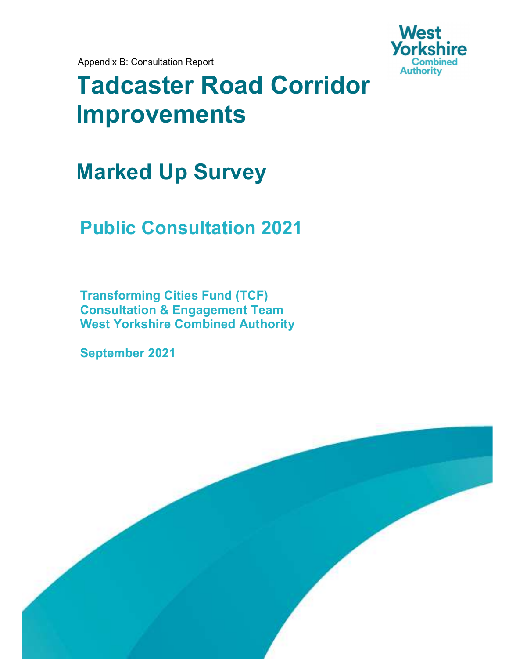Appendix B: Consultation Report



# Tadcaster Road Corridor Improvements

## Marked Up Survey

## Public Consultation 2021

Transforming Cities Fund (TCF) Consultation & Engagement Team West Yorkshire Combined Authority

September 2021

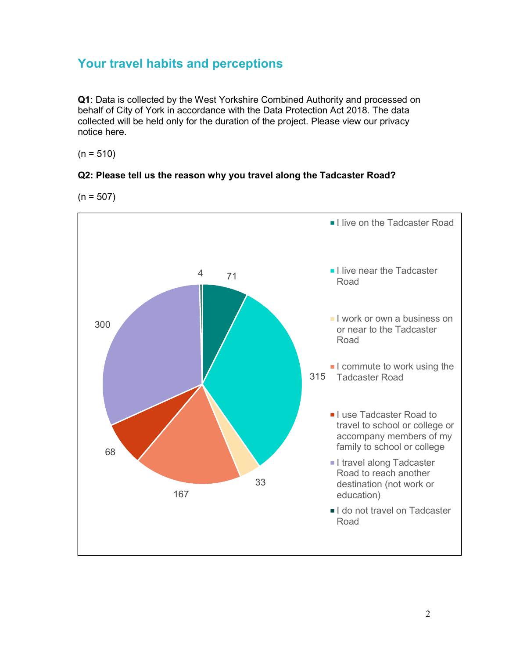## Your travel habits and perceptions

Q1: Data is collected by the West Yorkshire Combined Authority and processed on behalf of City of York in accordance with the Data Protection Act 2018. The data collected will be held only for the duration of the project. Please view our privacy notice here. 

#### $(n = 510)$

#### Q2: Please tell us the reason why you travel along the Tadcaster Road?

 $(n = 507)$ 

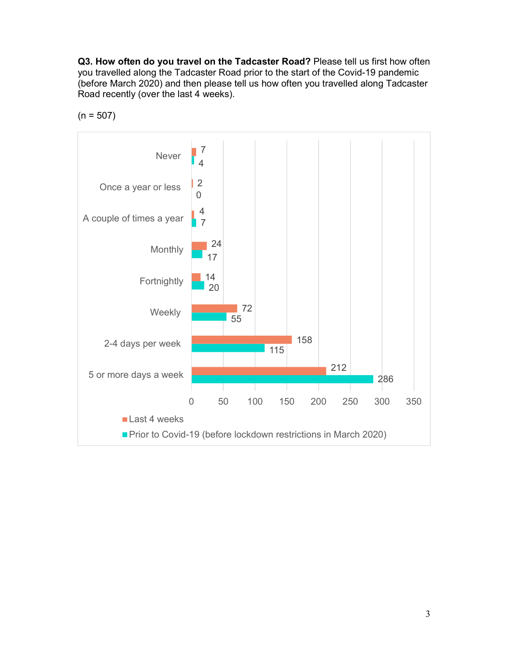Q3. How often do you travel on the Tadcaster Road? Please tell us first how often you travelled along the Tadcaster Road prior to the start of the Covid-19 pandemic (before March 2020) and then please tell us how often you travelled along Tadcaster Road recently (over the last 4 weeks).



 $(n = 507)$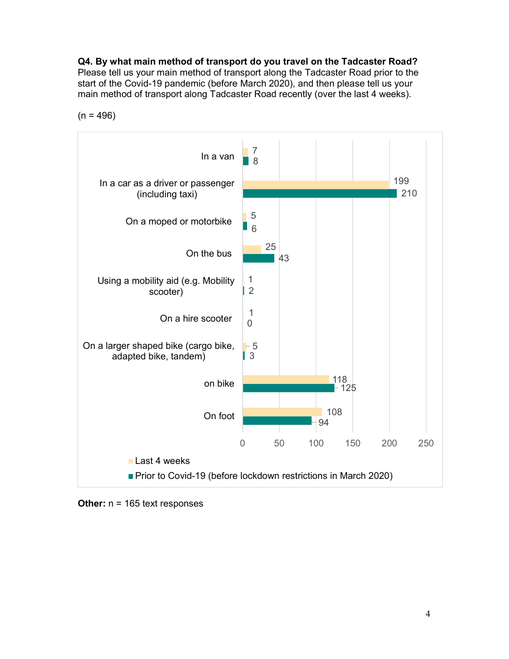Q4. By what main method of transport do you travel on the Tadcaster Road? Please tell us your main method of transport along the Tadcaster Road prior to the start of the Covid-19 pandemic (before March 2020), and then please tell us your

main method of transport along Tadcaster Road recently (over the last 4 weeks).



 $(n = 496)$ 

**Other:**  $n = 165$  text responses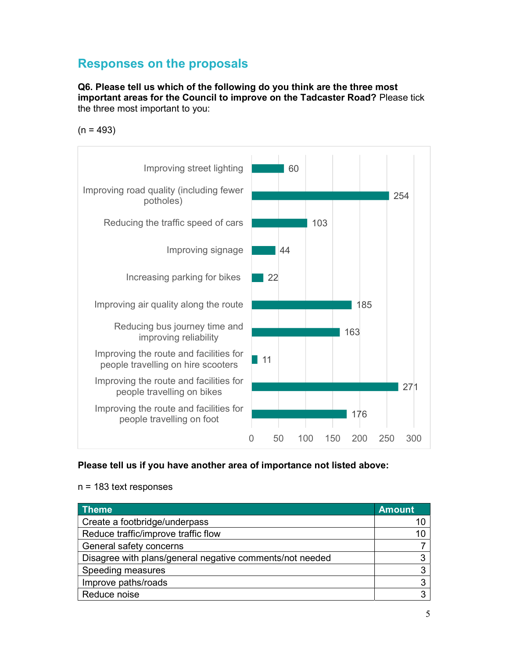## Responses on the proposals

Q6. Please tell us which of the following do you think are the three most important areas for the Council to improve on the Tadcaster Road? Please tick the three most important to you:

 $(n = 493)$ 



#### Please tell us if you have another area of importance not listed above:

| <u>l T</u> heme                                          | <b>Amount</b> |
|----------------------------------------------------------|---------------|
| Create a footbridge/underpass                            |               |
| Reduce traffic/improve traffic flow                      |               |
| General safety concerns                                  |               |
| Disagree with plans/general negative comments/not needed | 3             |
| Speeding measures                                        | 3             |
| Improve paths/roads                                      | 3             |
| Reduce noise                                             | З             |

n = 183 text responses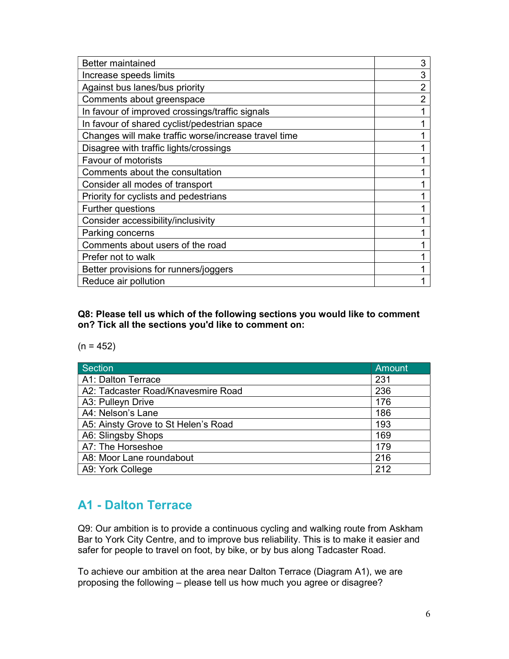| <b>Better maintained</b>                             | 3              |
|------------------------------------------------------|----------------|
| Increase speeds limits                               | 3              |
| Against bus lanes/bus priority                       | 2              |
| Comments about greenspace                            | $\overline{2}$ |
| In favour of improved crossings/traffic signals      |                |
| In favour of shared cyclist/pedestrian space         |                |
| Changes will make traffic worse/increase travel time |                |
| Disagree with traffic lights/crossings               |                |
| <b>Favour of motorists</b>                           |                |
| Comments about the consultation                      |                |
| Consider all modes of transport                      |                |
| Priority for cyclists and pedestrians                |                |
| Further questions                                    |                |
| Consider accessibility/inclusivity                   |                |
| Parking concerns                                     |                |
| Comments about users of the road                     |                |
| Prefer not to walk                                   |                |
| Better provisions for runners/joggers                |                |
| Reduce air pollution                                 |                |

Q8: Please tell us which of the following sections you would like to comment on? Tick all the sections you'd like to comment on:

 $(n = 452)$ 

| <b>Section</b>                      | Amount |
|-------------------------------------|--------|
| A1: Dalton Terrace                  | 231    |
| A2: Tadcaster Road/Knavesmire Road  | 236    |
| A3: Pulleyn Drive                   | 176    |
| A4: Nelson's Lane                   | 186    |
| A5: Ainsty Grove to St Helen's Road | 193    |
| A6: Slingsby Shops                  | 169    |
| A7: The Horseshoe                   | 179    |
| A8: Moor Lane roundabout            | 216    |
| A9: York College                    | 212    |

## A1 - Dalton Terrace

Q9: Our ambition is to provide a continuous cycling and walking route from Askham Bar to York City Centre, and to improve bus reliability. This is to make it easier and safer for people to travel on foot, by bike, or by bus along Tadcaster Road.

To achieve our ambition at the area near Dalton Terrace (Diagram A1), we are proposing the following – please tell us how much you agree or disagree?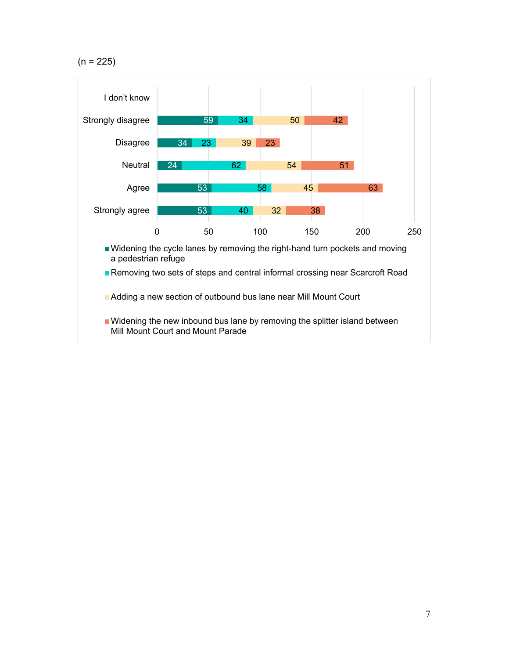$(n = 225)$ 

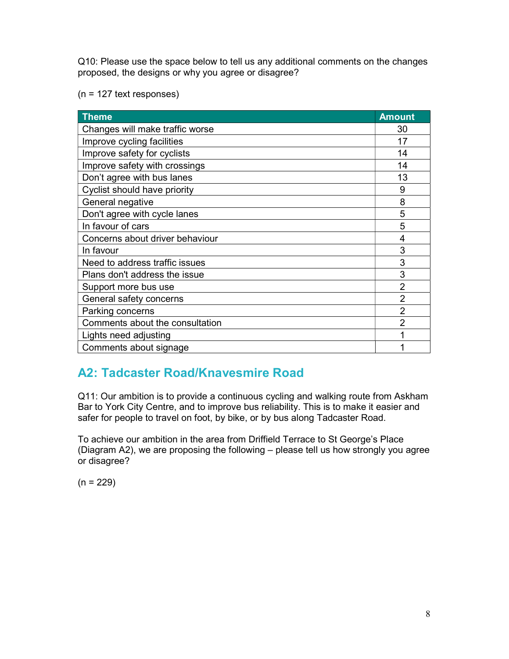Q10: Please use the space below to tell us any additional comments on the changes proposed, the designs or why you agree or disagree?

(n = 127 text responses)

| <b>Theme</b>                    | <b>Amount</b>  |
|---------------------------------|----------------|
| Changes will make traffic worse | 30             |
| Improve cycling facilities      | 17             |
| Improve safety for cyclists     | 14             |
| Improve safety with crossings   | 14             |
| Don't agree with bus lanes      | 13             |
| Cyclist should have priority    | 9              |
| General negative                | 8              |
| Don't agree with cycle lanes    | 5              |
| In favour of cars               | 5              |
| Concerns about driver behaviour | 4              |
| In favour                       | 3              |
| Need to address traffic issues  | 3              |
| Plans don't address the issue   | 3              |
| Support more bus use            | $\overline{2}$ |
| General safety concerns         | $\overline{2}$ |
| Parking concerns                | $\overline{2}$ |
| Comments about the consultation | $\overline{2}$ |
| Lights need adjusting           |                |
| Comments about signage          |                |

## A2: Tadcaster Road/Knavesmire Road

Q11: Our ambition is to provide a continuous cycling and walking route from Askham Bar to York City Centre, and to improve bus reliability. This is to make it easier and safer for people to travel on foot, by bike, or by bus along Tadcaster Road.

To achieve our ambition in the area from Driffield Terrace to St George's Place (Diagram A2), we are proposing the following – please tell us how strongly you agree or disagree?

 $(n = 229)$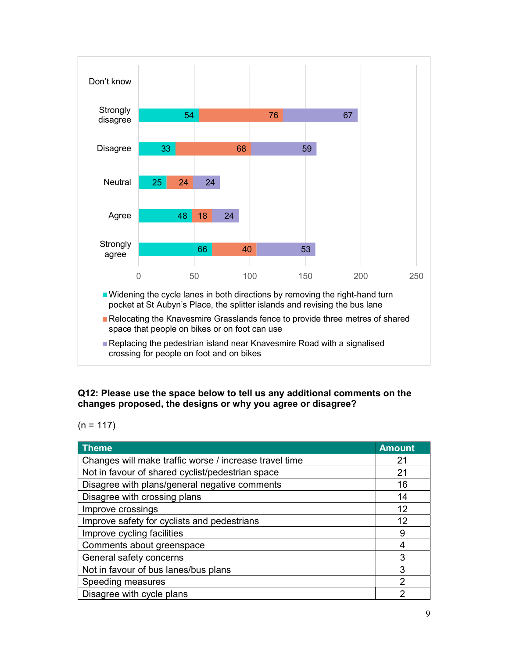

#### Q12: Please use the space below to tell us any additional comments on the changes proposed, the designs or why you agree or disagree?

 $(n = 117)$ 

| <b>Theme</b>                                           | <b>Amount</b> |
|--------------------------------------------------------|---------------|
| Changes will make traffic worse / increase travel time | 21            |
| Not in favour of shared cyclist/pedestrian space       | 21            |
| Disagree with plans/general negative comments          | 16            |
| Disagree with crossing plans                           | 14            |
| Improve crossings                                      | 12            |
| Improve safety for cyclists and pedestrians            | 12            |
| Improve cycling facilities                             | 9             |
| Comments about greenspace                              | 4             |
| General safety concerns                                | 3             |
| Not in favour of bus lanes/bus plans                   | 3             |
| Speeding measures                                      | $\mathcal{P}$ |
| Disagree with cycle plans                              | າ             |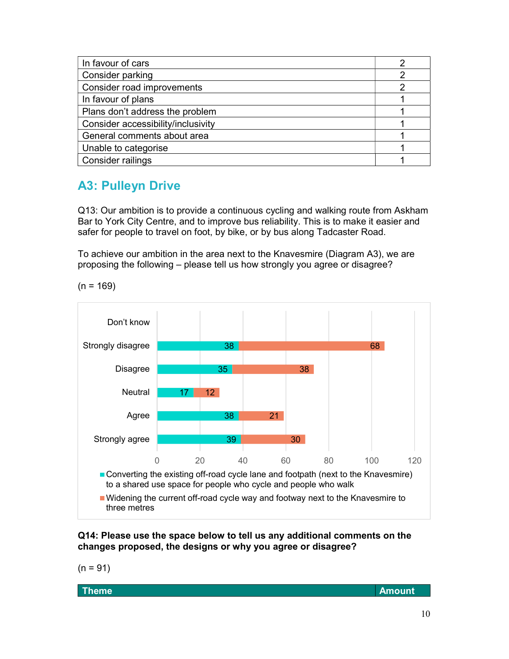| In favour of cars                  |  |
|------------------------------------|--|
| Consider parking                   |  |
| Consider road improvements         |  |
| In favour of plans                 |  |
| Plans don't address the problem    |  |
| Consider accessibility/inclusivity |  |
| General comments about area        |  |
| Unable to categorise               |  |
| <b>Consider railings</b>           |  |

## A3: Pulleyn Drive

Q13: Our ambition is to provide a continuous cycling and walking route from Askham Bar to York City Centre, and to improve bus reliability. This is to make it easier and safer for people to travel on foot, by bike, or by bus along Tadcaster Road.

To achieve our ambition in the area next to the Knavesmire (Diagram A3), we are proposing the following – please tell us how strongly you agree or disagree?

 $(n = 169)$ 



Q14: Please use the space below to tell us any additional comments on the changes proposed, the designs or why you agree or disagree?

 $(n = 91)$ 

Theme Amount and the contract of the contract of the contract of the contract of  $\lambda$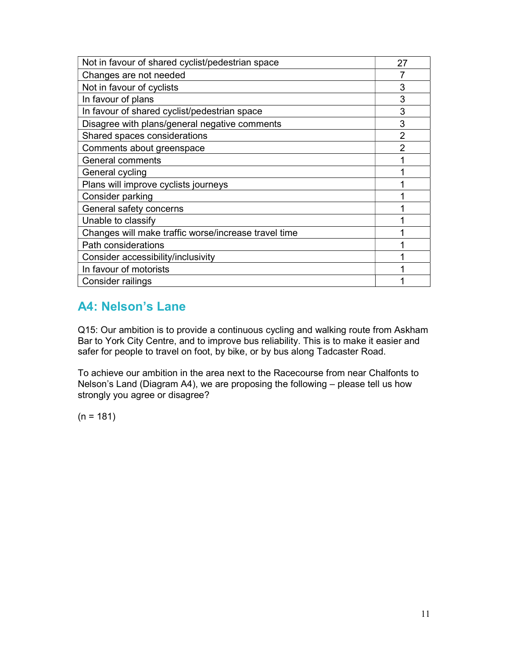| Not in favour of shared cyclist/pedestrian space     | 27             |
|------------------------------------------------------|----------------|
| Changes are not needed                               |                |
| Not in favour of cyclists                            | 3              |
| In favour of plans                                   | 3              |
| In favour of shared cyclist/pedestrian space         | 3              |
| Disagree with plans/general negative comments        | 3              |
| Shared spaces considerations                         | $\overline{2}$ |
| Comments about greenspace                            | $\mathfrak{p}$ |
| <b>General comments</b>                              |                |
| General cycling                                      |                |
| Plans will improve cyclists journeys                 |                |
| Consider parking                                     |                |
| General safety concerns                              |                |
| Unable to classify                                   |                |
| Changes will make traffic worse/increase travel time |                |
| Path considerations                                  |                |
| Consider accessibility/inclusivity                   |                |
| In favour of motorists                               |                |
| Consider railings                                    |                |

## A4: Nelson's Lane

Q15: Our ambition is to provide a continuous cycling and walking route from Askham Bar to York City Centre, and to improve bus reliability. This is to make it easier and safer for people to travel on foot, by bike, or by bus along Tadcaster Road.

To achieve our ambition in the area next to the Racecourse from near Chalfonts to Nelson's Land (Diagram A4), we are proposing the following – please tell us how strongly you agree or disagree?

 $(n = 181)$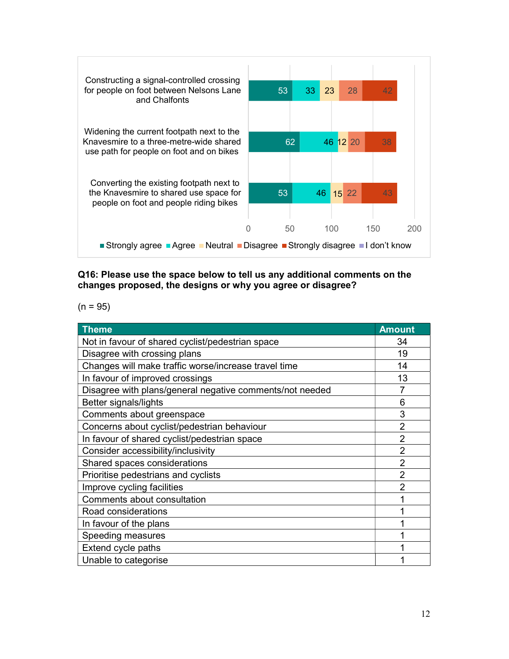

Q16: Please use the space below to tell us any additional comments on the changes proposed, the designs or why you agree or disagree?

 $(n = 95)$ 

| <b>Theme</b>                                             | <b>Amount</b>  |
|----------------------------------------------------------|----------------|
| Not in favour of shared cyclist/pedestrian space         | 34             |
| Disagree with crossing plans                             | 19             |
| Changes will make traffic worse/increase travel time     | 14             |
| In favour of improved crossings                          | 13             |
| Disagree with plans/general negative comments/not needed | 7              |
| Better signals/lights                                    | 6              |
| Comments about greenspace                                | 3              |
| Concerns about cyclist/pedestrian behaviour              | $\overline{2}$ |
| In favour of shared cyclist/pedestrian space             | $\overline{2}$ |
| Consider accessibility/inclusivity                       | $\overline{2}$ |
| Shared spaces considerations                             | $\overline{2}$ |
| Prioritise pedestrians and cyclists                      | $\overline{2}$ |
| Improve cycling facilities                               | $\overline{2}$ |
| Comments about consultation                              |                |
| Road considerations                                      |                |
| In favour of the plans                                   |                |
| Speeding measures                                        |                |
| Extend cycle paths                                       |                |
| Unable to categorise                                     |                |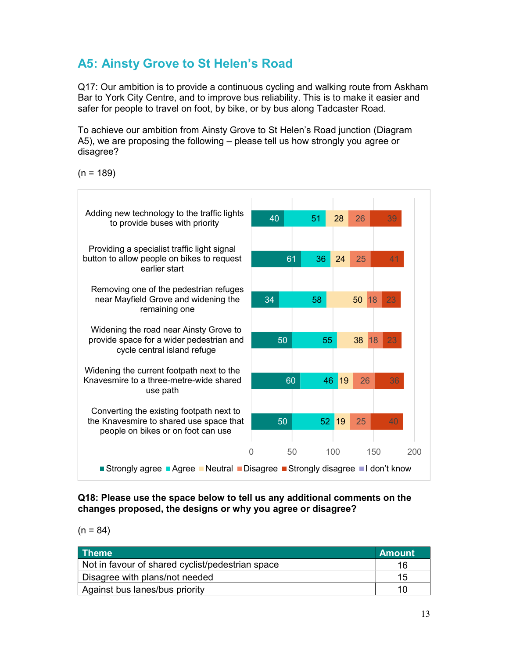## A5: Ainsty Grove to St Helen's Road

Q17: Our ambition is to provide a continuous cycling and walking route from Askham Bar to York City Centre, and to improve bus reliability. This is to make it easier and safer for people to travel on foot, by bike, or by bus along Tadcaster Road.

To achieve our ambition from Ainsty Grove to St Helen's Road junction (Diagram A5), we are proposing the following – please tell us how strongly you agree or disagree?

 $(n = 189)$ 



Q18: Please use the space below to tell us any additional comments on the changes proposed, the designs or why you agree or disagree?

 $(n = 84)$ 

| <b>Theme</b>                                     | <b>Amount</b> |
|--------------------------------------------------|---------------|
| Not in favour of shared cyclist/pedestrian space |               |
| Disagree with plans/not needed                   | 15            |
| Against bus lanes/bus priority                   |               |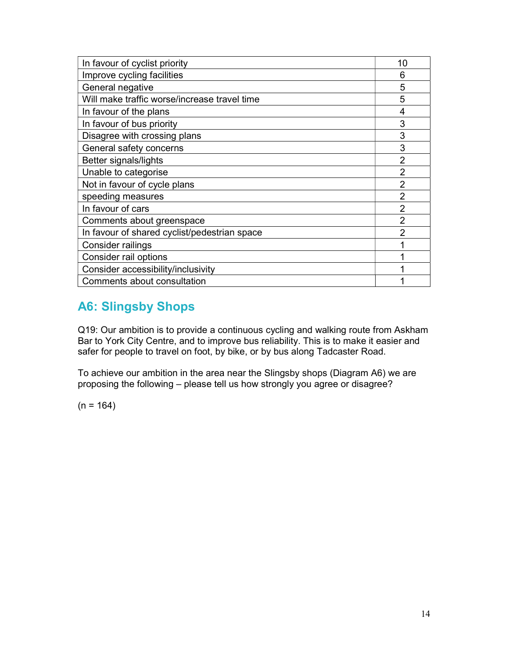| In favour of cyclist priority                | 10             |
|----------------------------------------------|----------------|
| Improve cycling facilities                   | 6              |
| General negative                             | 5              |
| Will make traffic worse/increase travel time | 5              |
| In favour of the plans                       | 4              |
| In favour of bus priority                    | 3              |
| Disagree with crossing plans                 | 3              |
| General safety concerns                      | 3              |
| Better signals/lights                        | $\overline{2}$ |
| Unable to categorise                         | $\overline{2}$ |
| Not in favour of cycle plans                 | $\overline{2}$ |
| speeding measures                            | $\overline{2}$ |
| In favour of cars                            | $\overline{2}$ |
| Comments about greenspace                    | $\overline{2}$ |
| In favour of shared cyclist/pedestrian space | $\overline{2}$ |
| Consider railings                            |                |
| Consider rail options                        |                |
| Consider accessibility/inclusivity           |                |
| Comments about consultation                  |                |

## A6: Slingsby Shops

Q19: Our ambition is to provide a continuous cycling and walking route from Askham Bar to York City Centre, and to improve bus reliability. This is to make it easier and safer for people to travel on foot, by bike, or by bus along Tadcaster Road.

To achieve our ambition in the area near the Slingsby shops (Diagram A6) we are proposing the following – please tell us how strongly you agree or disagree?

 $(n = 164)$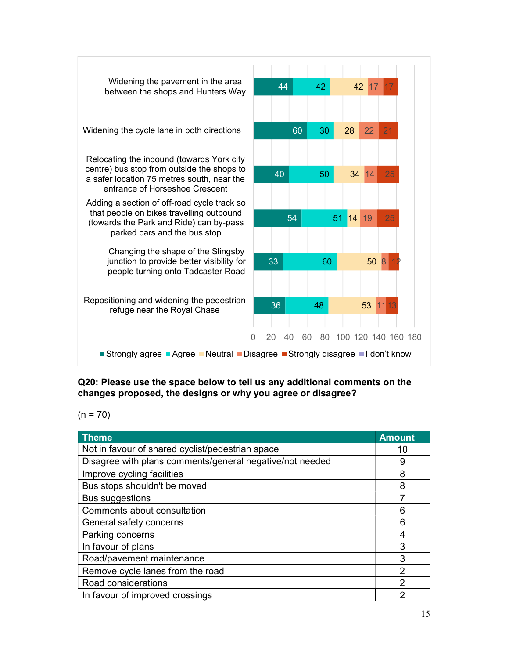

Q20: Please use the space below to tell us any additional comments on the changes proposed, the designs or why you agree or disagree?

 $(n = 70)$ 

| <b>Theme</b>                                             | <b>Amount</b> |
|----------------------------------------------------------|---------------|
| Not in favour of shared cyclist/pedestrian space         | 10            |
| Disagree with plans comments/general negative/not needed | 9             |
| Improve cycling facilities                               | 8             |
| Bus stops shouldn't be moved                             | 8             |
| <b>Bus suggestions</b>                                   | 7             |
| Comments about consultation                              | 6             |
| General safety concerns                                  | 6             |
| Parking concerns                                         |               |
| In favour of plans                                       | 3             |
| Road/pavement maintenance                                | 3             |
| Remove cycle lanes from the road                         | 2             |
| Road considerations                                      | 2             |
| In favour of improved crossings                          | റ             |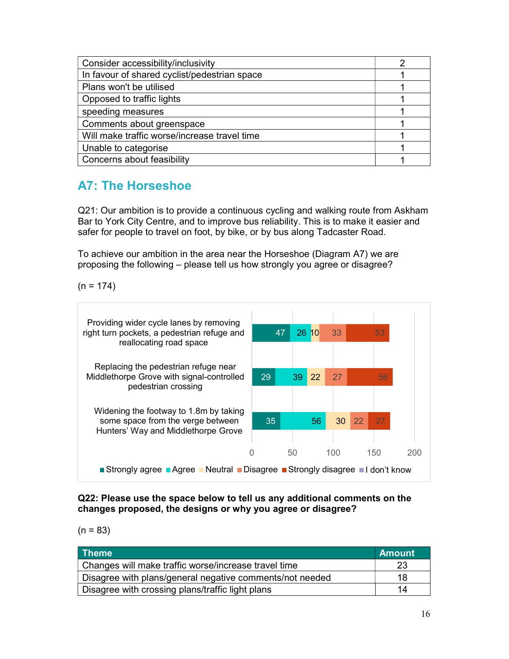| Consider accessibility/inclusivity           |  |
|----------------------------------------------|--|
| In favour of shared cyclist/pedestrian space |  |
| Plans won't be utilised                      |  |
| Opposed to traffic lights                    |  |
| speeding measures                            |  |
| Comments about greenspace                    |  |
| Will make traffic worse/increase travel time |  |
| Unable to categorise                         |  |
| Concerns about feasibility                   |  |

## A7: The Horseshoe

Q21: Our ambition is to provide a continuous cycling and walking route from Askham Bar to York City Centre, and to improve bus reliability. This is to make it easier and safer for people to travel on foot, by bike, or by bus along Tadcaster Road.

To achieve our ambition in the area near the Horseshoe (Diagram A7) we are proposing the following – please tell us how strongly you agree or disagree?

 $(n = 174)$ 



Q22: Please use the space below to tell us any additional comments on the changes proposed, the designs or why you agree or disagree?

 $(n = 83)$ 

| <b>Theme</b>                                             | <b>Amount</b> |
|----------------------------------------------------------|---------------|
| Changes will make traffic worse/increase travel time     |               |
| Disagree with plans/general negative comments/not needed | 18            |
| Disagree with crossing plans/traffic light plans         | 14            |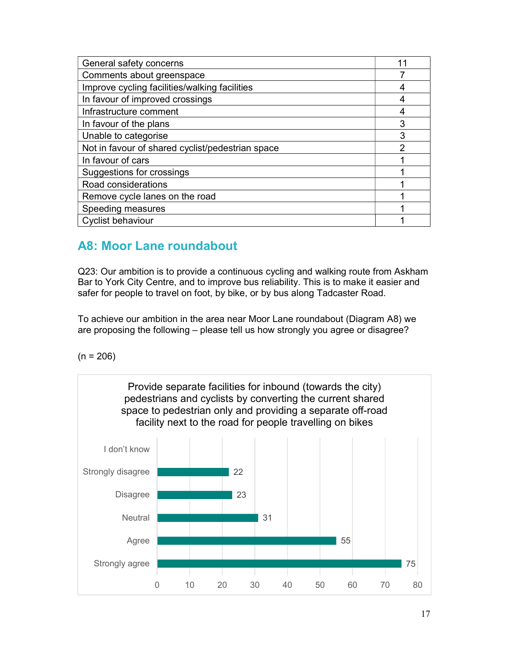| General safety concerns                          | 1              |
|--------------------------------------------------|----------------|
| Comments about greenspace                        |                |
| Improve cycling facilities/walking facilities    | 4              |
| In favour of improved crossings                  |                |
| Infrastructure comment                           | 4              |
| In favour of the plans                           | 3              |
| Unable to categorise                             | 3              |
| Not in favour of shared cyclist/pedestrian space | $\overline{2}$ |
| In favour of cars                                |                |
| Suggestions for crossings                        |                |
| Road considerations                              |                |
| Remove cycle lanes on the road                   |                |
| Speeding measures                                |                |
| <b>Cyclist behaviour</b>                         |                |

## A8: Moor Lane roundabout

Q23: Our ambition is to provide a continuous cycling and walking route from Askham Bar to York City Centre, and to improve bus reliability. This is to make it easier and safer for people to travel on foot, by bike, or by bus along Tadcaster Road.

To achieve our ambition in the area near Moor Lane roundabout (Diagram A8) we are proposing the following – please tell us how strongly you agree or disagree?

 $(n = 206)$ 

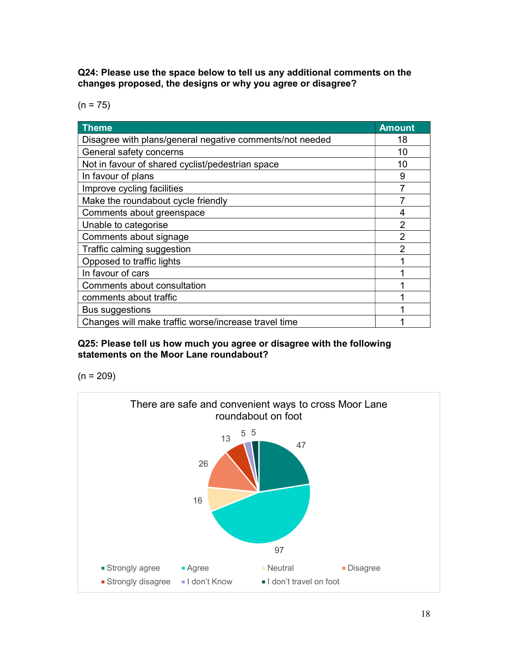Q24: Please use the space below to tell us any additional comments on the changes proposed, the designs or why you agree or disagree?

 $(n = 75)$ 

| <b>Theme</b>                                             | <b>Amount</b>  |
|----------------------------------------------------------|----------------|
| Disagree with plans/general negative comments/not needed | 18             |
| General safety concerns                                  | 10             |
| Not in favour of shared cyclist/pedestrian space         | 10             |
| In favour of plans                                       | 9              |
| Improve cycling facilities                               | 7              |
| Make the roundabout cycle friendly                       |                |
| Comments about greenspace                                | 4              |
| Unable to categorise                                     | 2              |
| Comments about signage                                   | $\overline{2}$ |
| Traffic calming suggestion                               | $\mathcal{P}$  |
| Opposed to traffic lights                                |                |
| In favour of cars                                        |                |
| Comments about consultation                              |                |
| comments about traffic                                   |                |
| Bus suggestions                                          |                |
| Changes will make traffic worse/increase travel time     |                |

#### Q25: Please tell us how much you agree or disagree with the following statements on the Moor Lane roundabout?

 $(n = 209)$ 

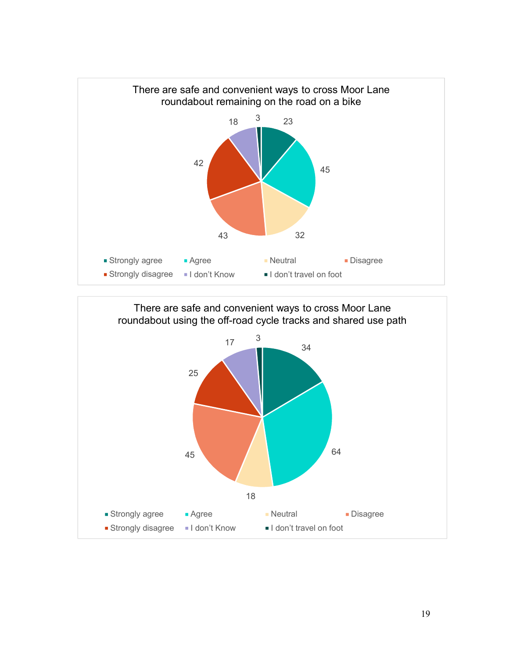

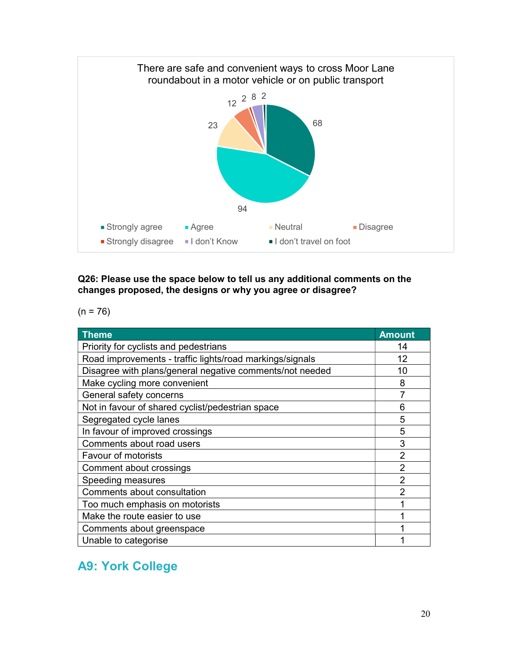

#### Q26: Please use the space below to tell us any additional comments on the changes proposed, the designs or why you agree or disagree?

 $(n = 76)$ 

| Theme                                                    | <b>Amount</b>  |
|----------------------------------------------------------|----------------|
| Priority for cyclists and pedestrians                    | 14             |
| Road improvements - traffic lights/road markings/signals | 12             |
| Disagree with plans/general negative comments/not needed | 10             |
| Make cycling more convenient                             | 8              |
| General safety concerns                                  |                |
| Not in favour of shared cyclist/pedestrian space         | 6              |
| Segregated cycle lanes                                   | 5              |
| In favour of improved crossings                          | 5              |
| Comments about road users                                | 3              |
| <b>Favour of motorists</b>                               | $\overline{2}$ |
| Comment about crossings                                  | $\overline{2}$ |
| Speeding measures                                        | $\overline{2}$ |
| Comments about consultation                              | $\overline{2}$ |
| Too much emphasis on motorists                           |                |
| Make the route easier to use                             |                |
| Comments about greenspace                                |                |
| Unable to categorise                                     |                |

## A9: York College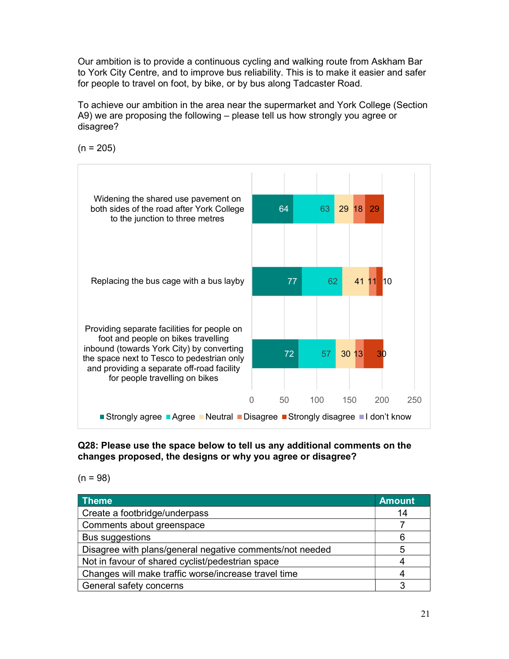Our ambition is to provide a continuous cycling and walking route from Askham Bar to York City Centre, and to improve bus reliability. This is to make it easier and safer for people to travel on foot, by bike, or by bus along Tadcaster Road.

To achieve our ambition in the area near the supermarket and York College (Section A9) we are proposing the following – please tell us how strongly you agree or disagree?

 $(n = 205)$ 



#### Q28: Please use the space below to tell us any additional comments on the changes proposed, the designs or why you agree or disagree?

 $(n = 98)$ 

| Theme                                                    | <b>Amount</b> |
|----------------------------------------------------------|---------------|
| Create a footbridge/underpass                            | 14            |
| Comments about greenspace                                |               |
| <b>Bus suggestions</b>                                   | 6             |
| Disagree with plans/general negative comments/not needed | 5             |
| Not in favour of shared cyclist/pedestrian space         |               |
| Changes will make traffic worse/increase travel time     | 4             |
| General safety concerns                                  |               |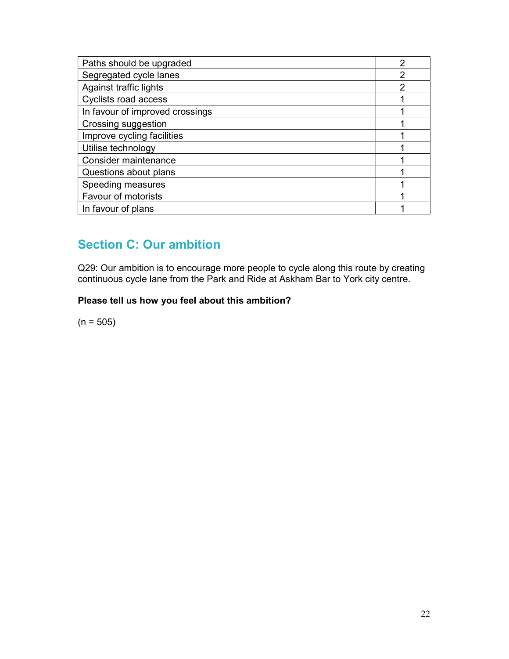| Paths should be upgraded        | ◠ |
|---------------------------------|---|
| Segregated cycle lanes          | 2 |
| Against traffic lights          | າ |
| Cyclists road access            |   |
| In favour of improved crossings |   |
| Crossing suggestion             |   |
| Improve cycling facilities      |   |
| Utilise technology              |   |
| Consider maintenance            |   |
| Questions about plans           |   |
| Speeding measures               |   |
| Favour of motorists             |   |
| In favour of plans              |   |

## Section C: Our ambition

Q29: Our ambition is to encourage more people to cycle along this route by creating continuous cycle lane from the Park and Ride at Askham Bar to York city centre.

#### Please tell us how you feel about this ambition?

 $(n = 505)$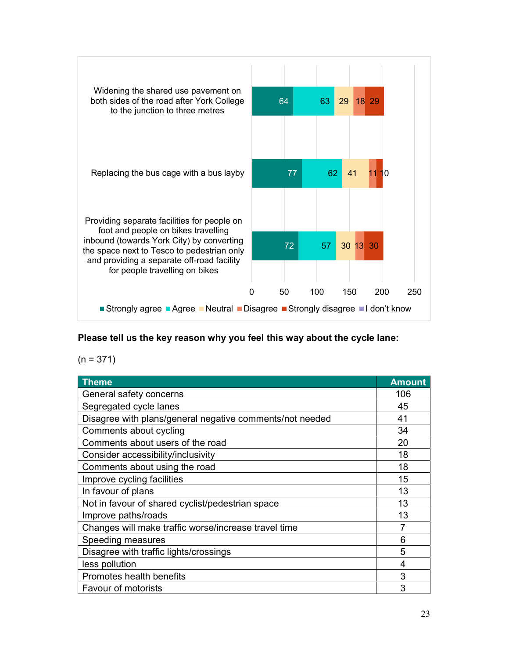

#### Please tell us the key reason why you feel this way about the cycle lane:

 $(n = 371)$ 

| <b>Theme</b>                                             | <b>Amount</b> |
|----------------------------------------------------------|---------------|
| General safety concerns                                  | 106           |
| Segregated cycle lanes                                   | 45            |
| Disagree with plans/general negative comments/not needed | 41            |
| Comments about cycling                                   | 34            |
| Comments about users of the road                         | 20            |
| Consider accessibility/inclusivity                       | 18            |
| Comments about using the road                            | 18            |
| Improve cycling facilities                               | 15            |
| In favour of plans                                       | 13            |
| Not in favour of shared cyclist/pedestrian space         | 13            |
| Improve paths/roads                                      | 13            |
| Changes will make traffic worse/increase travel time     | 7             |
| Speeding measures                                        | 6             |
| Disagree with traffic lights/crossings                   | 5             |
| less pollution                                           | 4             |
| Promotes health benefits                                 | 3             |
| <b>Favour of motorists</b>                               | 3             |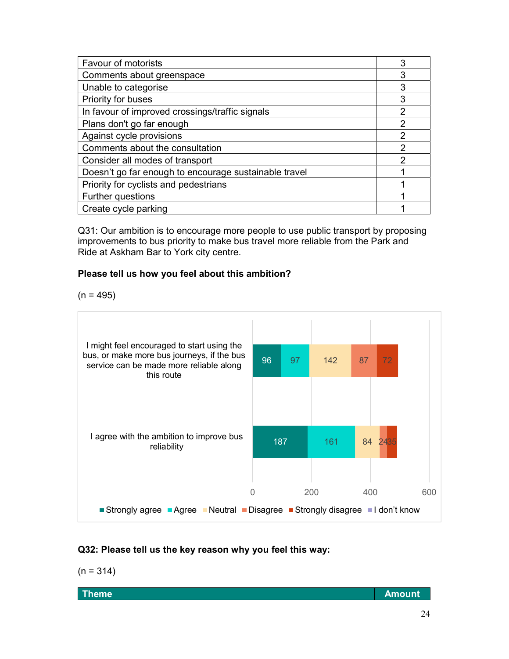| <b>Favour of motorists</b>                            | 3             |
|-------------------------------------------------------|---------------|
| Comments about greenspace                             | 3             |
| Unable to categorise                                  | 3             |
| Priority for buses                                    | 3             |
| In favour of improved crossings/traffic signals       | $\mathcal{P}$ |
| Plans don't go far enough                             | $\mathcal{P}$ |
| Against cycle provisions                              | 2             |
| Comments about the consultation                       | 2             |
| Consider all modes of transport                       | 2             |
| Doesn't go far enough to encourage sustainable travel |               |
| Priority for cyclists and pedestrians                 |               |
| Further questions                                     |               |
| Create cycle parking                                  |               |

Q31: Our ambition is to encourage more people to use public transport by proposing improvements to bus priority to make bus travel more reliable from the Park and Ride at Askham Bar to York city centre.

#### Please tell us how you feel about this ambition?

 $(n = 495)$ 



#### Q32: Please tell us the key reason why you feel this way:

$$
(n = 314)
$$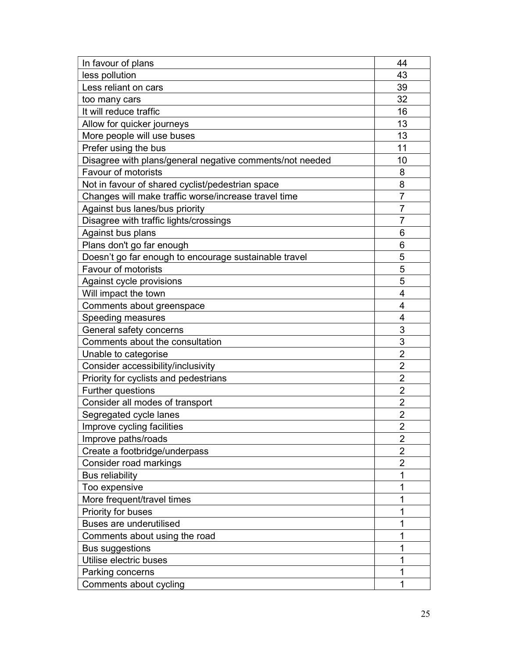| In favour of plans                                       | 44             |
|----------------------------------------------------------|----------------|
| less pollution                                           | 43             |
| Less reliant on cars                                     | 39             |
| too many cars                                            | 32             |
| It will reduce traffic                                   | 16             |
| Allow for quicker journeys                               | 13             |
| More people will use buses                               | 13             |
| Prefer using the bus                                     | 11             |
| Disagree with plans/general negative comments/not needed | 10             |
| <b>Favour of motorists</b>                               | 8              |
| Not in favour of shared cyclist/pedestrian space         | 8              |
| Changes will make traffic worse/increase travel time     | 7              |
| Against bus lanes/bus priority                           | $\overline{7}$ |
| Disagree with traffic lights/crossings                   | $\overline{7}$ |
| Against bus plans                                        | 6              |
| Plans don't go far enough                                | 6              |
| Doesn't go far enough to encourage sustainable travel    | 5              |
| <b>Favour of motorists</b>                               | 5              |
| Against cycle provisions                                 | 5              |
| Will impact the town                                     | 4              |
| Comments about greenspace                                | 4              |
| Speeding measures                                        | 4              |
| General safety concerns                                  | 3              |
| Comments about the consultation                          | 3              |
| Unable to categorise                                     | $\overline{2}$ |
| Consider accessibility/inclusivity                       | $\overline{2}$ |
| Priority for cyclists and pedestrians                    | $\overline{2}$ |
| <b>Further questions</b>                                 | $\overline{2}$ |
| Consider all modes of transport                          | $\overline{2}$ |
| Segregated cycle lanes                                   | $\overline{2}$ |
| Improve cycling facilities                               | $\overline{2}$ |
| Improve paths/roads                                      | $\overline{2}$ |
| Create a footbridge/underpass                            | $\overline{2}$ |
| Consider road markings                                   | $\overline{2}$ |
| <b>Bus reliability</b>                                   | 1              |
| Too expensive                                            | 1              |
| More frequent/travel times                               | 1              |
| Priority for buses                                       | 1              |
| <b>Buses are underutilised</b>                           | 1              |
| Comments about using the road                            | 1              |
| Bus suggestions                                          | 1              |
| Utilise electric buses                                   | 1              |
| Parking concerns                                         | 1              |
| Comments about cycling                                   | 1              |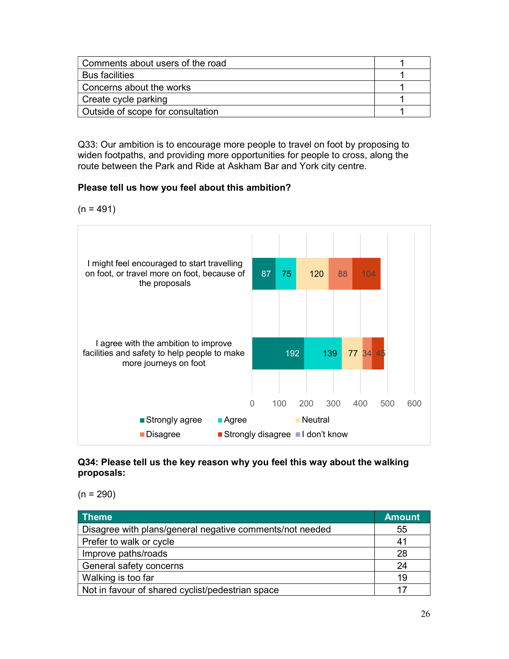| Comments about users of the road  |  |
|-----------------------------------|--|
| <b>Bus facilities</b>             |  |
| Concerns about the works          |  |
| Create cycle parking              |  |
| Outside of scope for consultation |  |

Q33: Our ambition is to encourage more people to travel on foot by proposing to widen footpaths, and providing more opportunities for people to cross, along the route between the Park and Ride at Askham Bar and York city centre.

#### Please tell us how you feel about this ambition?

 $(n = 491)$ 



#### Q34: Please tell us the key reason why you feel this way about the walking proposals:

 $(n = 290)$ 

| Theme                                                    | <b>Amount</b> |
|----------------------------------------------------------|---------------|
| Disagree with plans/general negative comments/not needed | 55            |
| Prefer to walk or cycle                                  | 41            |
| Improve paths/roads                                      | 28            |
| General safety concerns                                  | 24            |
| Walking is too far                                       | 19            |
| Not in favour of shared cyclist/pedestrian space         | 17            |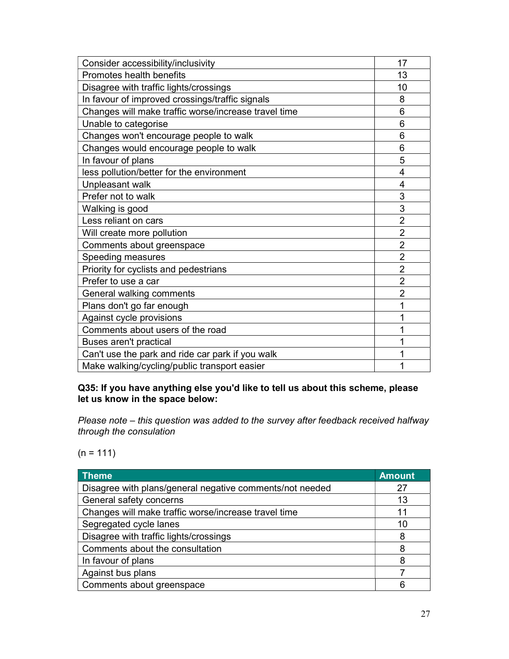| Consider accessibility/inclusivity                   | 17             |
|------------------------------------------------------|----------------|
| Promotes health benefits                             | 13             |
| Disagree with traffic lights/crossings               | 10             |
| In favour of improved crossings/traffic signals      | 8              |
| Changes will make traffic worse/increase travel time | 6              |
| Unable to categorise                                 | 6              |
| Changes won't encourage people to walk               | 6              |
| Changes would encourage people to walk               | 6              |
| In favour of plans                                   | 5              |
| less pollution/better for the environment            | 4              |
| Unpleasant walk                                      | $\overline{4}$ |
| Prefer not to walk                                   | 3              |
| Walking is good                                      | 3              |
| Less reliant on cars                                 | $\overline{2}$ |
| Will create more pollution                           | $\overline{2}$ |
| Comments about greenspace                            | $\overline{2}$ |
| Speeding measures                                    | $\overline{2}$ |
| Priority for cyclists and pedestrians                | $\overline{2}$ |
| Prefer to use a car                                  | $\overline{2}$ |
| General walking comments                             | $\overline{2}$ |
| Plans don't go far enough                            | 1              |
| Against cycle provisions                             | 1              |
| Comments about users of the road                     | 1              |
| Buses aren't practical                               | 1              |
| Can't use the park and ride car park if you walk     | 1              |
| Make walking/cycling/public transport easier         | 1              |

#### Q35: If you have anything else you'd like to tell us about this scheme, please let us know in the space below:

Please note – this question was added to the survey after feedback received halfway through the consulation

 $(n = 111)$ 

| <b>Theme</b>                                             | <b>Amount</b> |
|----------------------------------------------------------|---------------|
| Disagree with plans/general negative comments/not needed | 27            |
| General safety concerns                                  | 13            |
| Changes will make traffic worse/increase travel time     | 11            |
| Segregated cycle lanes                                   | 10            |
| Disagree with traffic lights/crossings                   | 8             |
| Comments about the consultation                          | 8             |
| In favour of plans                                       | 8             |
| Against bus plans                                        |               |
| Comments about greenspace                                | 6             |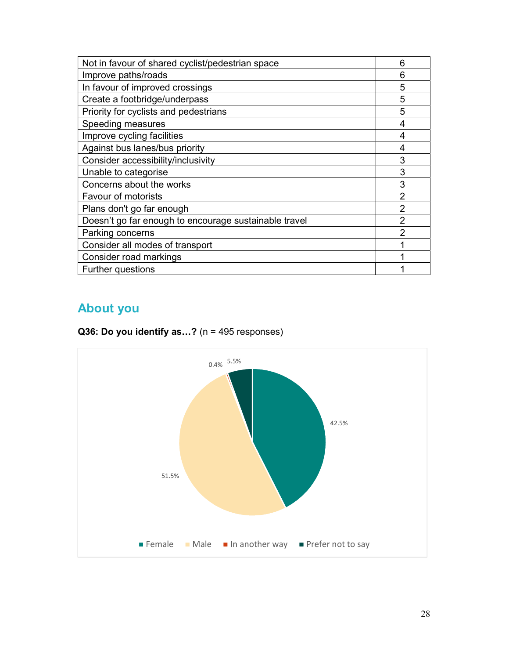| Not in favour of shared cyclist/pedestrian space      | 6              |
|-------------------------------------------------------|----------------|
| Improve paths/roads                                   | 6              |
| In favour of improved crossings                       | 5              |
| Create a footbridge/underpass                         | 5              |
| Priority for cyclists and pedestrians                 | 5              |
| Speeding measures                                     | 4              |
| Improve cycling facilities                            | 4              |
| Against bus lanes/bus priority                        | 4              |
| Consider accessibility/inclusivity                    | 3              |
| Unable to categorise                                  | 3              |
| Concerns about the works                              | 3              |
| <b>Favour of motorists</b>                            | $\overline{2}$ |
| Plans don't go far enough                             | $\overline{2}$ |
| Doesn't go far enough to encourage sustainable travel | $\overline{2}$ |
| Parking concerns                                      | $\overline{2}$ |
| Consider all modes of transport                       |                |
| Consider road markings                                |                |
| <b>Further questions</b>                              |                |

## About you

Q36: Do you identify as...? ( $n = 495$  responses)

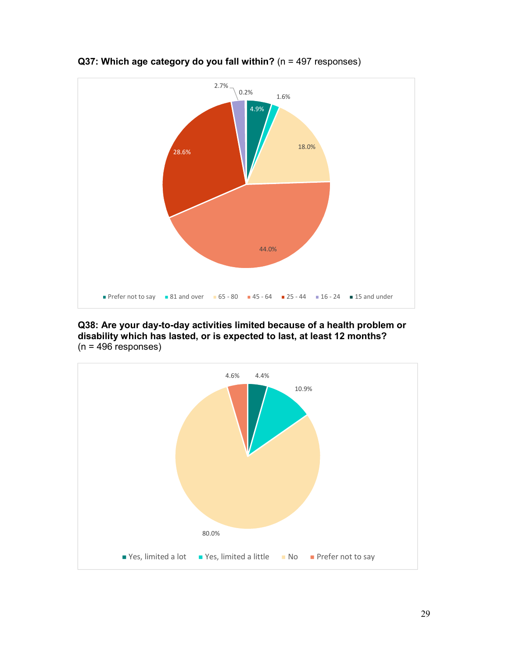

Q37: Which age category do you fall within? (n = 497 responses)

Q38: Are your day-to-day activities limited because of a health problem or disability which has lasted, or is expected to last, at least 12 months?  $(n = 496$  responses)

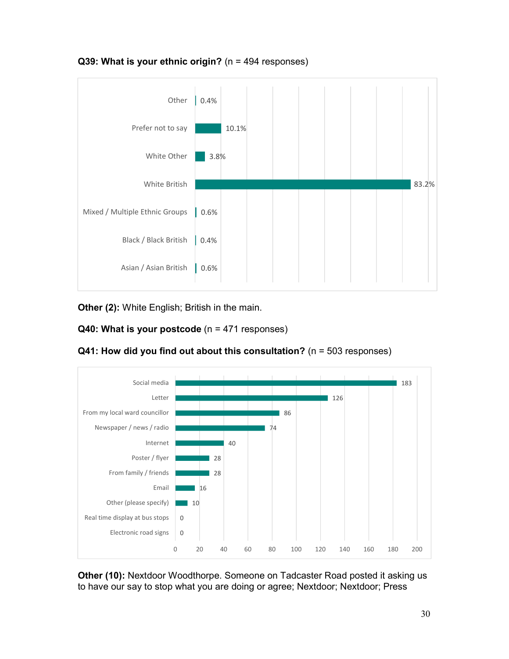

#### Q39: What is your ethnic origin? ( $n = 494$  responses)

Other (2): White English; British in the main.





 $Q41$ : How did you find out about this consultation? (n = 503 responses)

Other (10): Nextdoor Woodthorpe. Someone on Tadcaster Road posted it asking us to have our say to stop what you are doing or agree; Nextdoor; Nextdoor; Press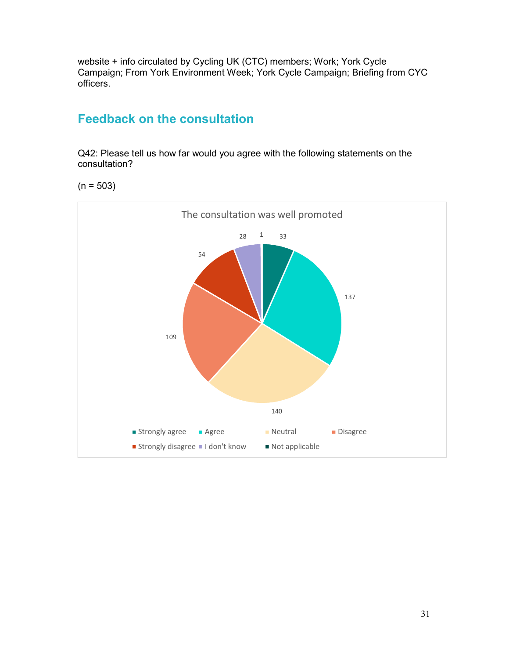website + info circulated by Cycling UK (CTC) members; Work; York Cycle Campaign; From York Environment Week; York Cycle Campaign; Briefing from CYC officers.

## Feedback on the consultation

Q42: Please tell us how far would you agree with the following statements on the consultation?

 $(n = 503)$ 

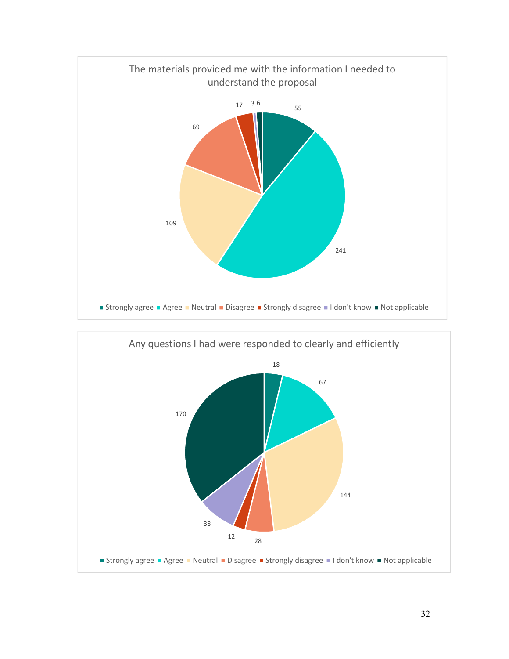